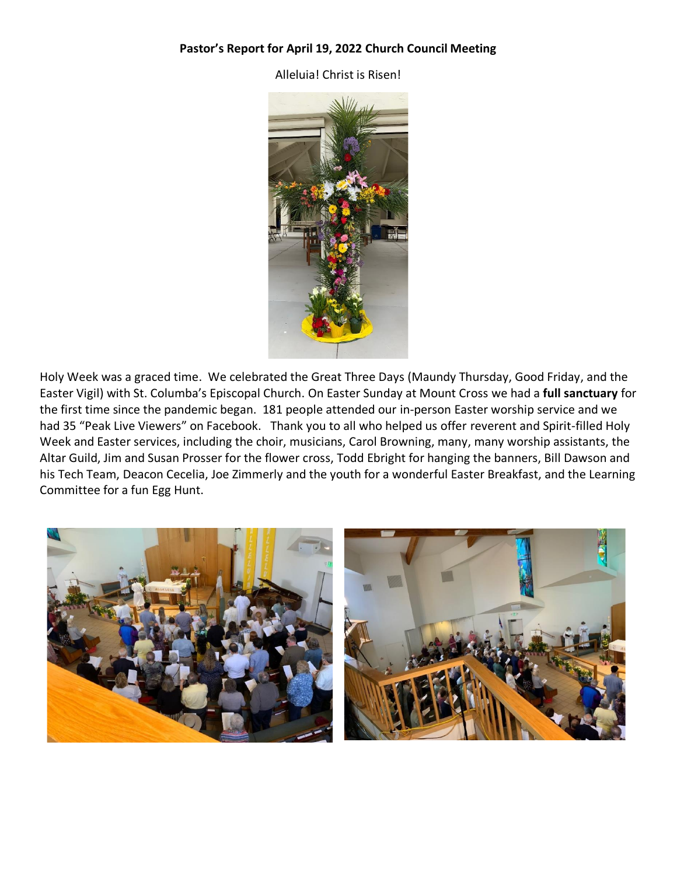### **Pastor's Report for April 19, 2022 Church Council Meeting**

Alleluia! Christ is Risen!



Holy Week was a graced time. We celebrated the Great Three Days (Maundy Thursday, Good Friday, and the Easter Vigil) with St. Columba's Episcopal Church. On Easter Sunday at Mount Cross we had a **full sanctuary** for the first time since the pandemic began. 181 people attended our in-person Easter worship service and we had 35 "Peak Live Viewers" on Facebook. Thank you to all who helped us offer reverent and Spirit-filled Holy Week and Easter services, including the choir, musicians, Carol Browning, many, many worship assistants, the Altar Guild, Jim and Susan Prosser for the flower cross, Todd Ebright for hanging the banners, Bill Dawson and his Tech Team, Deacon Cecelia, Joe Zimmerly and the youth for a wonderful Easter Breakfast, and the Learning Committee for a fun Egg Hunt.

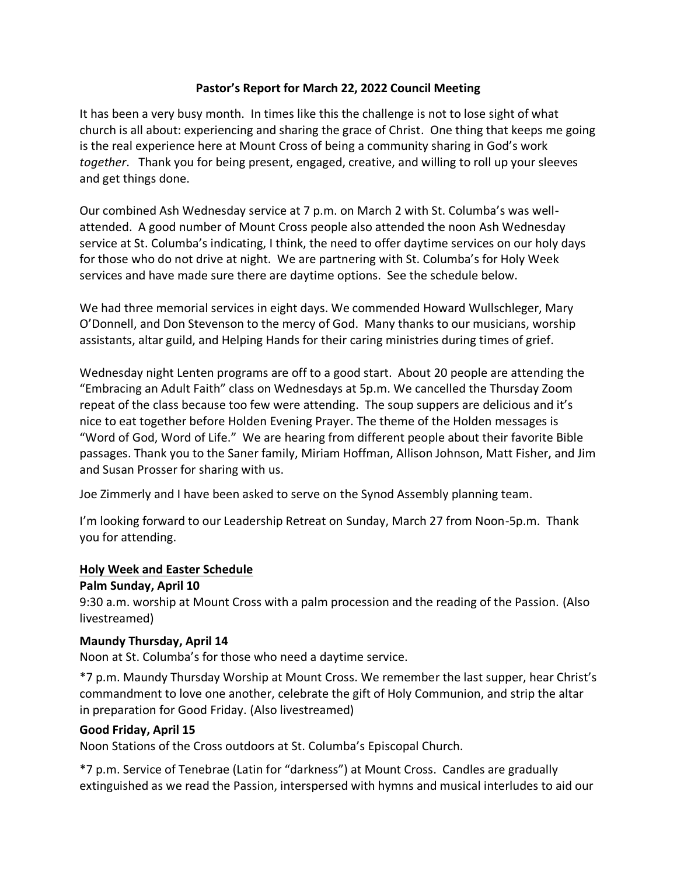### **Pastor's Report for March 22, 2022 Council Meeting**

It has been a very busy month. In times like this the challenge is not to lose sight of what church is all about: experiencing and sharing the grace of Christ. One thing that keeps me going is the real experience here at Mount Cross of being a community sharing in God's work *together*. Thank you for being present, engaged, creative, and willing to roll up your sleeves and get things done.

Our combined Ash Wednesday service at 7 p.m. on March 2 with St. Columba's was wellattended. A good number of Mount Cross people also attended the noon Ash Wednesday service at St. Columba's indicating, I think, the need to offer daytime services on our holy days for those who do not drive at night. We are partnering with St. Columba's for Holy Week services and have made sure there are daytime options. See the schedule below.

We had three memorial services in eight days. We commended Howard Wullschleger, Mary O'Donnell, and Don Stevenson to the mercy of God. Many thanks to our musicians, worship assistants, altar guild, and Helping Hands for their caring ministries during times of grief.

Wednesday night Lenten programs are off to a good start. About 20 people are attending the "Embracing an Adult Faith" class on Wednesdays at 5p.m. We cancelled the Thursday Zoom repeat of the class because too few were attending. The soup suppers are delicious and it's nice to eat together before Holden Evening Prayer. The theme of the Holden messages is "Word of God, Word of Life." We are hearing from different people about their favorite Bible passages. Thank you to the Saner family, Miriam Hoffman, Allison Johnson, Matt Fisher, and Jim and Susan Prosser for sharing with us.

Joe Zimmerly and I have been asked to serve on the Synod Assembly planning team.

I'm looking forward to our Leadership Retreat on Sunday, March 27 from Noon-5p.m. Thank you for attending.

#### **Holy Week and Easter Schedule**

#### **Palm Sunday, April 10**

9:30 a.m. worship at Mount Cross with a palm procession and the reading of the Passion. (Also livestreamed)

#### **Maundy Thursday, April 14**

Noon at St. Columba's for those who need a daytime service.

\*7 p.m. Maundy Thursday Worship at Mount Cross. We remember the last supper, hear Christ's commandment to love one another, celebrate the gift of Holy Communion, and strip the altar in preparation for Good Friday. (Also livestreamed)

#### **Good Friday, April 15**

Noon Stations of the Cross outdoors at St. Columba's Episcopal Church.

\*7 p.m. Service of Tenebrae (Latin for "darkness") at Mount Cross. Candles are gradually extinguished as we read the Passion, interspersed with hymns and musical interludes to aid our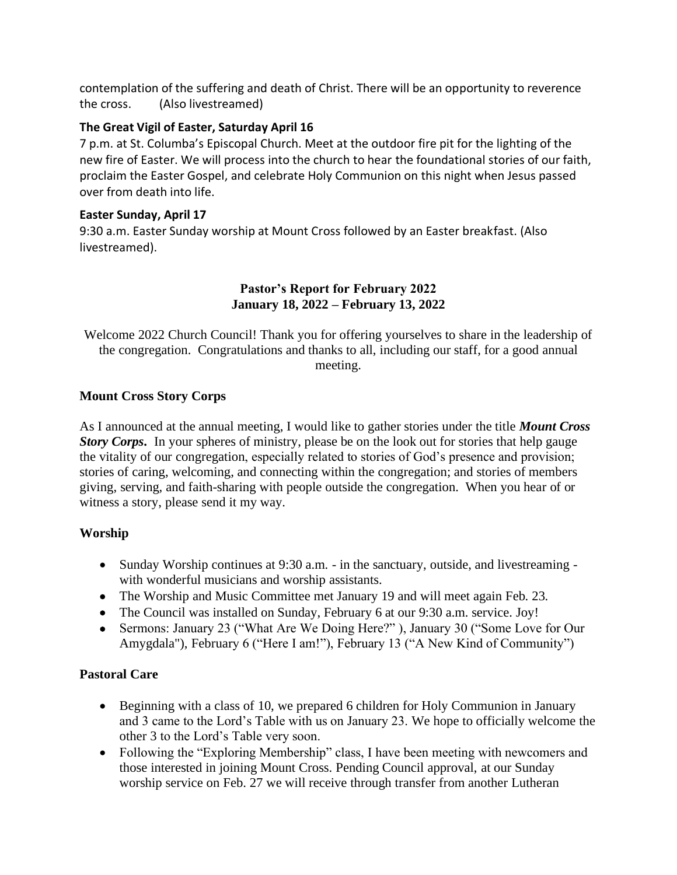contemplation of the suffering and death of Christ. There will be an opportunity to reverence the cross. (Also livestreamed)

# **The Great Vigil of Easter, Saturday April 16**

7 p.m. at St. Columba's Episcopal Church. Meet at the outdoor fire pit for the lighting of the new fire of Easter. We will process into the church to hear the foundational stories of our faith, proclaim the Easter Gospel, and celebrate Holy Communion on this night when Jesus passed over from death into life.

# **Easter Sunday, April 17**

9:30 a.m. Easter Sunday worship at Mount Cross followed by an Easter breakfast. (Also livestreamed).

## **Pastor's Report for February 2022 January 18, 2022 – February 13, 2022**

Welcome 2022 Church Council! Thank you for offering yourselves to share in the leadership of the congregation. Congratulations and thanks to all, including our staff, for a good annual meeting.

# **Mount Cross Story Corps**

As I announced at the annual meeting, I would like to gather stories under the title *Mount Cross Story Corps***.** In your spheres of ministry, please be on the look out for stories that help gauge the vitality of our congregation, especially related to stories of God's presence and provision; stories of caring, welcoming, and connecting within the congregation; and stories of members giving, serving, and faith-sharing with people outside the congregation. When you hear of or witness a story, please send it my way.

# **Worship**

- Sunday Worship continues at 9:30 a.m. in the sanctuary, outside, and livestreaming with wonderful musicians and worship assistants.
- The Worship and Music Committee met January 19 and will meet again Feb. 23.
- The Council was installed on Sunday, February 6 at our 9:30 a.m. service. Joy!
- Sermons: January 23 ("What Are We Doing Here?"), January 30 ("Some Love for Our Amygdala"), February 6 ("Here I am!"), February 13 ("A New Kind of Community")

# **Pastoral Care**

- Beginning with a class of 10, we prepared 6 children for Holy Communion in January and 3 came to the Lord's Table with us on January 23. We hope to officially welcome the other 3 to the Lord's Table very soon.
- Following the "Exploring Membership" class, I have been meeting with newcomers and those interested in joining Mount Cross. Pending Council approval, at our Sunday worship service on Feb. 27 we will receive through transfer from another Lutheran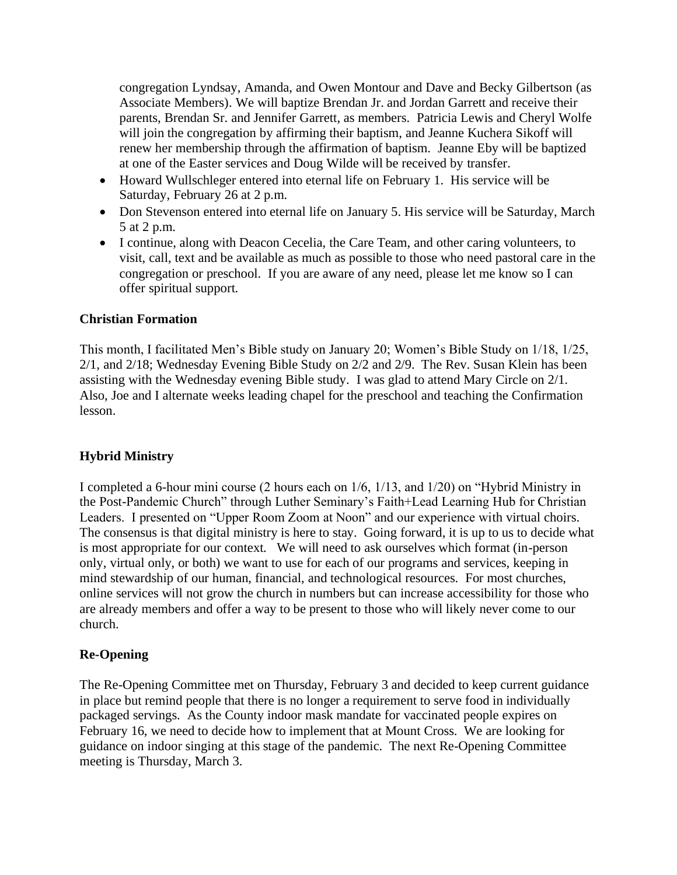congregation Lyndsay, Amanda, and Owen Montour and Dave and Becky Gilbertson (as Associate Members). We will baptize Brendan Jr. and Jordan Garrett and receive their parents, Brendan Sr. and Jennifer Garrett, as members. Patricia Lewis and Cheryl Wolfe will join the congregation by affirming their baptism, and Jeanne Kuchera Sikoff will renew her membership through the affirmation of baptism. Jeanne Eby will be baptized at one of the Easter services and Doug Wilde will be received by transfer.

- Howard Wullschleger entered into eternal life on February 1. His service will be Saturday, February 26 at 2 p.m.
- Don Stevenson entered into eternal life on January 5. His service will be Saturday, March 5 at 2 p.m.
- I continue, along with Deacon Cecelia, the Care Team, and other caring volunteers, to visit, call, text and be available as much as possible to those who need pastoral care in the congregation or preschool. If you are aware of any need, please let me know so I can offer spiritual support.

### **Christian Formation**

This month, I facilitated Men's Bible study on January 20; Women's Bible Study on 1/18, 1/25, 2/1, and 2/18; Wednesday Evening Bible Study on 2/2 and 2/9. The Rev. Susan Klein has been assisting with the Wednesday evening Bible study. I was glad to attend Mary Circle on 2/1. Also, Joe and I alternate weeks leading chapel for the preschool and teaching the Confirmation lesson.

## **Hybrid Ministry**

I completed a 6-hour mini course (2 hours each on 1/6, 1/13, and 1/20) on "Hybrid Ministry in the Post-Pandemic Church" through Luther Seminary's Faith+Lead Learning Hub for Christian Leaders. I presented on "Upper Room Zoom at Noon" and our experience with virtual choirs. The consensus is that digital ministry is here to stay. Going forward, it is up to us to decide what is most appropriate for our context. We will need to ask ourselves which format (in-person only, virtual only, or both) we want to use for each of our programs and services, keeping in mind stewardship of our human, financial, and technological resources. For most churches, online services will not grow the church in numbers but can increase accessibility for those who are already members and offer a way to be present to those who will likely never come to our church.

## **Re-Opening**

The Re-Opening Committee met on Thursday, February 3 and decided to keep current guidance in place but remind people that there is no longer a requirement to serve food in individually packaged servings. As the County indoor mask mandate for vaccinated people expires on February 16, we need to decide how to implement that at Mount Cross. We are looking for guidance on indoor singing at this stage of the pandemic. The next Re-Opening Committee meeting is Thursday, March 3.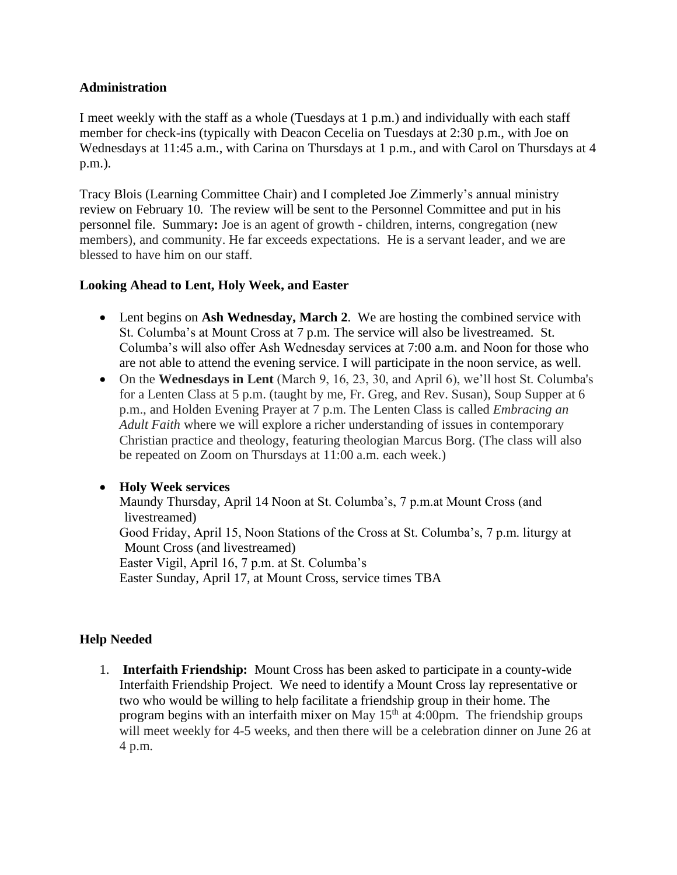### **Administration**

I meet weekly with the staff as a whole (Tuesdays at 1 p.m.) and individually with each staff member for check-ins (typically with Deacon Cecelia on Tuesdays at 2:30 p.m., with Joe on Wednesdays at 11:45 a.m., with Carina on Thursdays at 1 p.m., and with Carol on Thursdays at 4 p.m.).

Tracy Blois (Learning Committee Chair) and I completed Joe Zimmerly's annual ministry review on February 10. The review will be sent to the Personnel Committee and put in his personnel file. Summary**:** Joe is an agent of growth - children, interns, congregation (new members), and community. He far exceeds expectations. He is a servant leader, and we are blessed to have him on our staff.

### **Looking Ahead to Lent, Holy Week, and Easter**

- Lent begins on **Ash Wednesday, March 2**. We are hosting the combined service with St. Columba's at Mount Cross at 7 p.m. The service will also be livestreamed. St. Columba's will also offer Ash Wednesday services at 7:00 a.m. and Noon for those who are not able to attend the evening service. I will participate in the noon service, as well.
- On the **Wednesdays in Lent** (March 9, 16, 23, 30, and April 6), we'll host St. Columba's for a Lenten Class at 5 p.m. (taught by me, Fr. Greg, and Rev. Susan), Soup Supper at 6 p.m., and Holden Evening Prayer at 7 p.m. The Lenten Class is called *Embracing an Adult Faith* where we will explore a richer understanding of issues in contemporary Christian practice and theology, featuring theologian Marcus Borg. (The class will also be repeated on Zoom on Thursdays at 11:00 a.m. each week.)

## • **Holy Week services**

Maundy Thursday, April 14 Noon at St. Columba's, 7 p.m.at Mount Cross (and livestreamed) Good Friday, April 15, Noon Stations of the Cross at St. Columba's, 7 p.m. liturgy at Mount Cross (and livestreamed) Easter Vigil, April 16, 7 p.m. at St. Columba's Easter Sunday, April 17, at Mount Cross, service times TBA

## **Help Needed**

1. **Interfaith Friendship:** Mount Cross has been asked to participate in a county-wide Interfaith Friendship Project. We need to identify a Mount Cross lay representative or two who would be willing to help facilitate a friendship group in their home. The program begins with an interfaith mixer on May  $15<sup>th</sup>$  at 4:00pm. The friendship groups will meet weekly for 4-5 weeks, and then there will be a celebration dinner on June 26 at 4 p.m.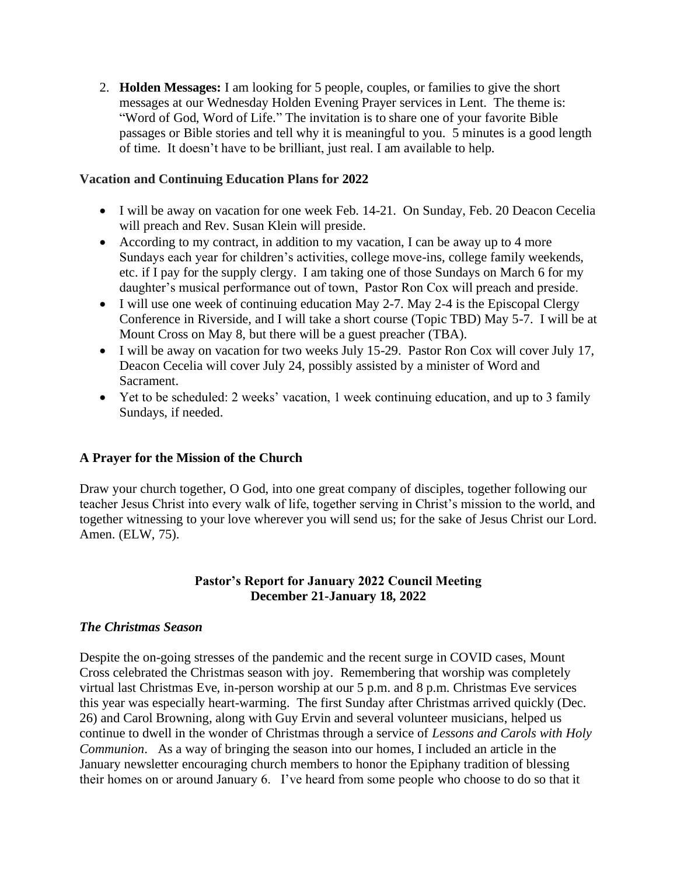2. **Holden Messages:** I am looking for 5 people, couples, or families to give the short messages at our Wednesday Holden Evening Prayer services in Lent. The theme is: "Word of God, Word of Life." The invitation is to share one of your favorite Bible passages or Bible stories and tell why it is meaningful to you. 5 minutes is a good length of time. It doesn't have to be brilliant, just real. I am available to help.

### **Vacation and Continuing Education Plans for 2022**

- I will be away on vacation for one week Feb. 14-21. On Sunday, Feb. 20 Deacon Cecelia will preach and Rev. Susan Klein will preside.
- According to my contract, in addition to my vacation, I can be away up to 4 more Sundays each year for children's activities, college move-ins, college family weekends, etc. if I pay for the supply clergy. I am taking one of those Sundays on March 6 for my daughter's musical performance out of town, Pastor Ron Cox will preach and preside.
- I will use one week of continuing education May 2-7. May 2-4 is the Episcopal Clergy Conference in Riverside, and I will take a short course (Topic TBD) May 5-7. I will be at Mount Cross on May 8, but there will be a guest preacher (TBA).
- I will be away on vacation for two weeks July 15-29. Pastor Ron Cox will cover July 17, Deacon Cecelia will cover July 24, possibly assisted by a minister of Word and Sacrament.
- Yet to be scheduled: 2 weeks' vacation, 1 week continuing education, and up to 3 family Sundays, if needed.

## **A Prayer for the Mission of the Church**

Draw your church together, O God, into one great company of disciples, together following our teacher Jesus Christ into every walk of life, together serving in Christ's mission to the world, and together witnessing to your love wherever you will send us; for the sake of Jesus Christ our Lord. Amen. (ELW, 75).

## **Pastor's Report for January 2022 Council Meeting December 21-January 18, 2022**

#### *The Christmas Season*

Despite the on-going stresses of the pandemic and the recent surge in COVID cases, Mount Cross celebrated the Christmas season with joy. Remembering that worship was completely virtual last Christmas Eve, in-person worship at our 5 p.m. and 8 p.m. Christmas Eve services this year was especially heart-warming. The first Sunday after Christmas arrived quickly (Dec. 26) and Carol Browning, along with Guy Ervin and several volunteer musicians, helped us continue to dwell in the wonder of Christmas through a service of *Lessons and Carols with Holy Communion*. As a way of bringing the season into our homes, I included an article in the January newsletter encouraging church members to honor the Epiphany tradition of blessing their homes on or around January 6. I've heard from some people who choose to do so that it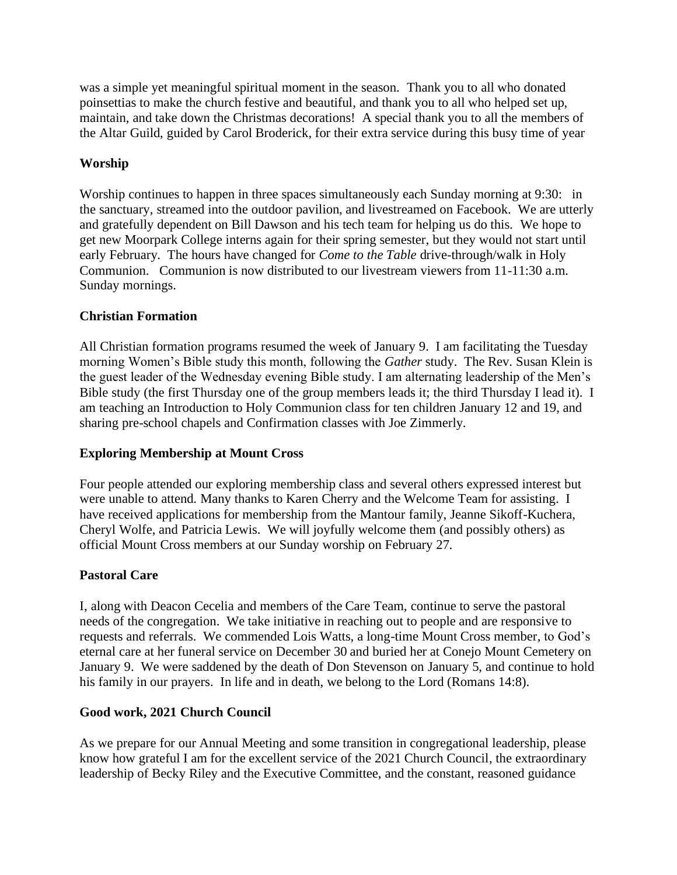was a simple yet meaningful spiritual moment in the season. Thank you to all who donated poinsettias to make the church festive and beautiful, and thank you to all who helped set up, maintain, and take down the Christmas decorations! A special thank you to all the members of the Altar Guild, guided by Carol Broderick, for their extra service during this busy time of year

# **Worship**

Worship continues to happen in three spaces simultaneously each Sunday morning at 9:30: in the sanctuary, streamed into the outdoor pavilion, and livestreamed on Facebook. We are utterly and gratefully dependent on Bill Dawson and his tech team for helping us do this. We hope to get new Moorpark College interns again for their spring semester, but they would not start until early February. The hours have changed for *Come to the Table* drive-through/walk in Holy Communion. Communion is now distributed to our livestream viewers from 11-11:30 a.m. Sunday mornings.

### **Christian Formation**

All Christian formation programs resumed the week of January 9. I am facilitating the Tuesday morning Women's Bible study this month, following the *Gather* study. The Rev. Susan Klein is the guest leader of the Wednesday evening Bible study. I am alternating leadership of the Men's Bible study (the first Thursday one of the group members leads it; the third Thursday I lead it). I am teaching an Introduction to Holy Communion class for ten children January 12 and 19, and sharing pre-school chapels and Confirmation classes with Joe Zimmerly.

## **Exploring Membership at Mount Cross**

Four people attended our exploring membership class and several others expressed interest but were unable to attend. Many thanks to Karen Cherry and the Welcome Team for assisting. I have received applications for membership from the Mantour family, Jeanne Sikoff-Kuchera, Cheryl Wolfe, and Patricia Lewis. We will joyfully welcome them (and possibly others) as official Mount Cross members at our Sunday worship on February 27.

## **Pastoral Care**

I, along with Deacon Cecelia and members of the Care Team, continue to serve the pastoral needs of the congregation. We take initiative in reaching out to people and are responsive to requests and referrals. We commended Lois Watts, a long-time Mount Cross member, to God's eternal care at her funeral service on December 30 and buried her at Conejo Mount Cemetery on January 9. We were saddened by the death of Don Stevenson on January 5, and continue to hold his family in our prayers. In life and in death, we belong to the Lord (Romans 14:8).

## **Good work, 2021 Church Council**

As we prepare for our Annual Meeting and some transition in congregational leadership, please know how grateful I am for the excellent service of the 2021 Church Council, the extraordinary leadership of Becky Riley and the Executive Committee, and the constant, reasoned guidance